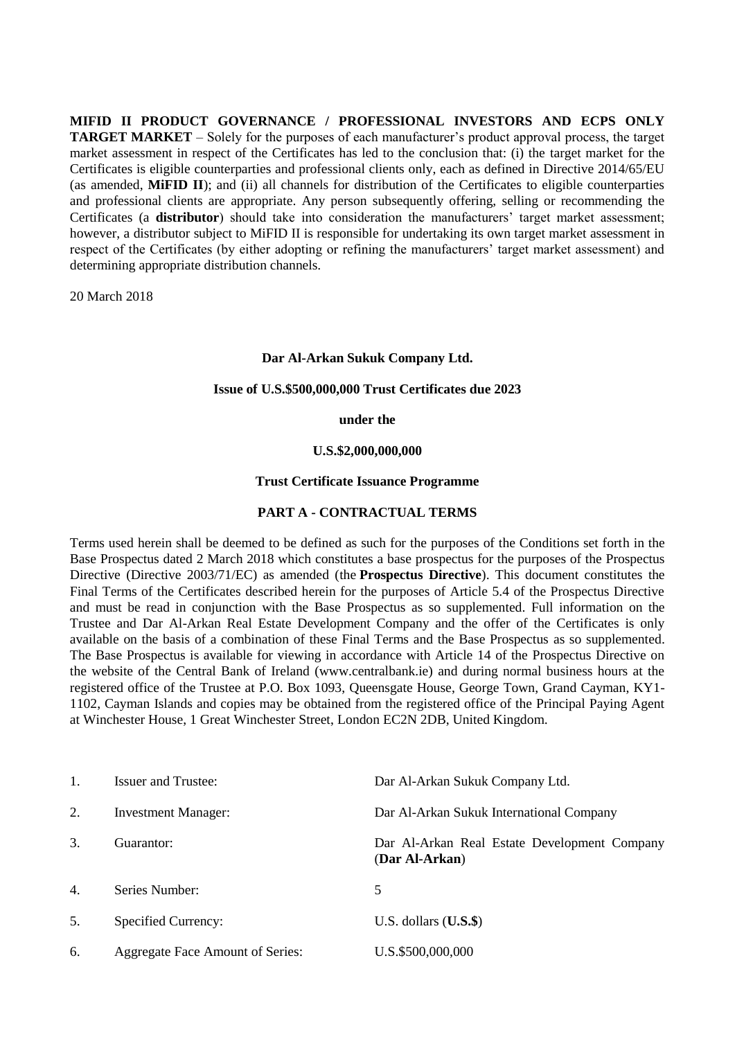**MIFID II PRODUCT GOVERNANCE / PROFESSIONAL INVESTORS AND ECPS ONLY TARGET MARKET** – Solely for the purposes of each manufacturer's product approval process, the target market assessment in respect of the Certificates has led to the conclusion that: (i) the target market for the Certificates is eligible counterparties and professional clients only, each as defined in Directive 2014/65/EU (as amended, **MiFID II**); and (ii) all channels for distribution of the Certificates to eligible counterparties and professional clients are appropriate. Any person subsequently offering, selling or recommending the Certificates (a **distributor**) should take into consideration the manufacturers' target market assessment; however, a distributor subject to MiFID II is responsible for undertaking its own target market assessment in respect of the Certificates (by either adopting or refining the manufacturers' target market assessment) and determining appropriate distribution channels.

20 March 2018

## **Dar Al-Arkan Sukuk Company Ltd.**

#### **Issue of U.S.\$500,000,000 Trust Certificates due 2023**

#### **under the**

#### **U.S.\$2,000,000,000**

## **Trust Certificate Issuance Programme**

#### **PART A - CONTRACTUAL TERMS**

Terms used herein shall be deemed to be defined as such for the purposes of the Conditions set forth in the Base Prospectus dated 2 March 2018 which constitutes a base prospectus for the purposes of the Prospectus Directive (Directive 2003/71/EC) as amended (the **Prospectus Directive**). This document constitutes the Final Terms of the Certificates described herein for the purposes of Article 5.4 of the Prospectus Directive and must be read in conjunction with the Base Prospectus as so supplemented. Full information on the Trustee and Dar Al-Arkan Real Estate Development Company and the offer of the Certificates is only available on the basis of a combination of these Final Terms and the Base Prospectus as so supplemented. The Base Prospectus is available for viewing in accordance with Article 14 of the Prospectus Directive on the website of the Central Bank of Ireland (www.centralbank.ie) and during normal business hours at the registered office of the Trustee at P.O. Box 1093, Queensgate House, George Town, Grand Cayman, KY1- 1102, Cayman Islands and copies may be obtained from the registered office of the Principal Paying Agent at Winchester House, 1 Great Winchester Street, London EC2N 2DB, United Kingdom.

|    | <b>Issuer and Trustee:</b>              | Dar Al-Arkan Sukuk Company Ltd.                                |
|----|-----------------------------------------|----------------------------------------------------------------|
| 2. | <b>Investment Manager:</b>              | Dar Al-Arkan Sukuk International Company                       |
| 3. | Guarantor:                              | Dar Al-Arkan Real Estate Development Company<br>(Dar Al-Arkan) |
| 4. | Series Number:                          | 5                                                              |
| 5. | <b>Specified Currency:</b>              | U.S. dollars $(U.S.\$                                          |
| 6. | <b>Aggregate Face Amount of Series:</b> | U.S.\$500,000,000                                              |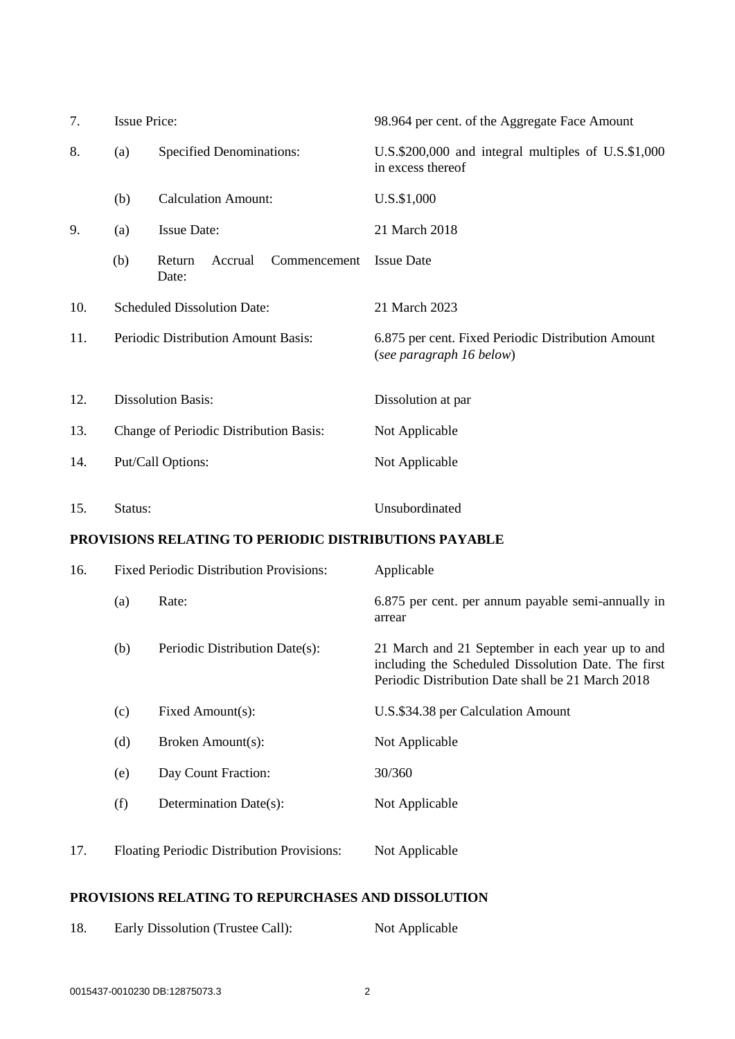| 7.  | <b>Issue Price:</b>                                                         |                                                       | 98.964 per cent. of the Aggregate Face Amount                                                                                                                |  |  |
|-----|-----------------------------------------------------------------------------|-------------------------------------------------------|--------------------------------------------------------------------------------------------------------------------------------------------------------------|--|--|
| 8.  | <b>Specified Denominations:</b><br>(a)<br><b>Calculation Amount:</b><br>(b) |                                                       | U.S.\$200,000 and integral multiples of U.S.\$1,000<br>in excess thereof                                                                                     |  |  |
|     |                                                                             |                                                       | U.S.\$1,000                                                                                                                                                  |  |  |
| 9.  | <b>Issue Date:</b><br>(a)                                                   |                                                       | 21 March 2018                                                                                                                                                |  |  |
|     | (b)                                                                         | Return<br>Accrual<br>Commencement<br>Date:            | <b>Issue Date</b>                                                                                                                                            |  |  |
| 10. | <b>Scheduled Dissolution Date:</b>                                          |                                                       | 21 March 2023                                                                                                                                                |  |  |
| 11. | Periodic Distribution Amount Basis:                                         |                                                       | 6.875 per cent. Fixed Periodic Distribution Amount<br>(see paragraph 16 below)                                                                               |  |  |
| 12. | <b>Dissolution Basis:</b>                                                   |                                                       | Dissolution at par                                                                                                                                           |  |  |
| 13. | Change of Periodic Distribution Basis:                                      |                                                       | Not Applicable                                                                                                                                               |  |  |
| 14. | Put/Call Options:                                                           |                                                       | Not Applicable                                                                                                                                               |  |  |
| 15. | Status:                                                                     |                                                       | Unsubordinated                                                                                                                                               |  |  |
|     |                                                                             | PROVISIONS RELATING TO PERIODIC DISTRIBUTIONS PAYABLE |                                                                                                                                                              |  |  |
| 16. | <b>Fixed Periodic Distribution Provisions:</b>                              |                                                       | Applicable                                                                                                                                                   |  |  |
|     | (a)                                                                         | Rate:                                                 | 6.875 per cent. per annum payable semi-annually in<br>arrear                                                                                                 |  |  |
|     | (b)                                                                         | Periodic Distribution Date(s):                        | 21 March and 21 September in each year up to and<br>including the Scheduled Dissolution Date. The first<br>Periodic Distribution Date shall be 21 March 2018 |  |  |
|     | (c)                                                                         | Fixed Amount(s):                                      | U.S.\$34.38 per Calculation Amount                                                                                                                           |  |  |
|     | (d)                                                                         | Broken Amount(s):                                     | Not Applicable                                                                                                                                               |  |  |
|     | (e)                                                                         | Day Count Fraction:                                   | 30/360                                                                                                                                                       |  |  |
|     | (f)                                                                         | Determination Date(s):                                | Not Applicable                                                                                                                                               |  |  |
| 17. | Floating Periodic Distribution Provisions:                                  |                                                       | Not Applicable                                                                                                                                               |  |  |

## **PROVISIONS RELATING TO REPURCHASES AND DISSOLUTION**

18. Early Dissolution (Trustee Call): Not Applicable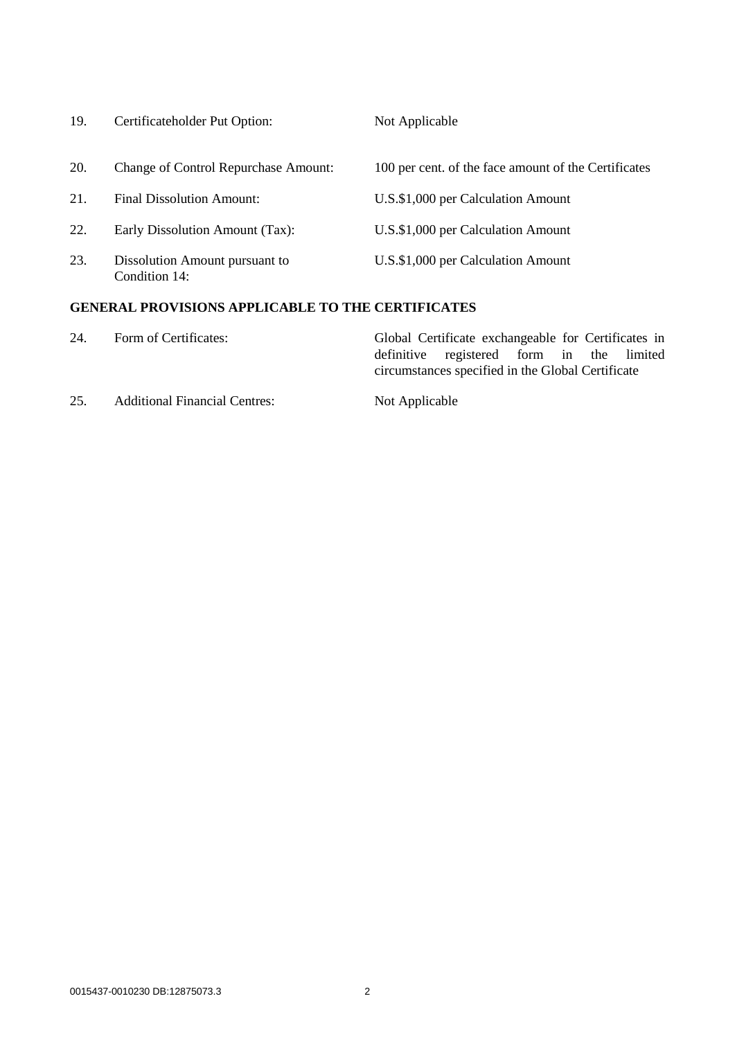| 19. | Certificateholder Put Option:                   | Not Applicable                                       |
|-----|-------------------------------------------------|------------------------------------------------------|
| 20. | <b>Change of Control Repurchase Amount:</b>     | 100 per cent. of the face amount of the Certificates |
| 21. | Final Dissolution Amount:                       | U.S.\$1,000 per Calculation Amount                   |
| 22. | Early Dissolution Amount (Tax):                 | U.S.\$1,000 per Calculation Amount                   |
| 23. | Dissolution Amount pursuant to<br>Condition 14: | U.S.\$1,000 per Calculation Amount                   |

# **GENERAL PROVISIONS APPLICABLE TO THE CERTIFICATES**

| 24. | Form of Certificates:                | Global Certificate exchangeable for Certificates in |
|-----|--------------------------------------|-----------------------------------------------------|
|     |                                      | definitive registered form in the limited           |
|     |                                      | circumstances specified in the Global Certificate   |
| 25. | <b>Additional Financial Centres:</b> | Not Applicable                                      |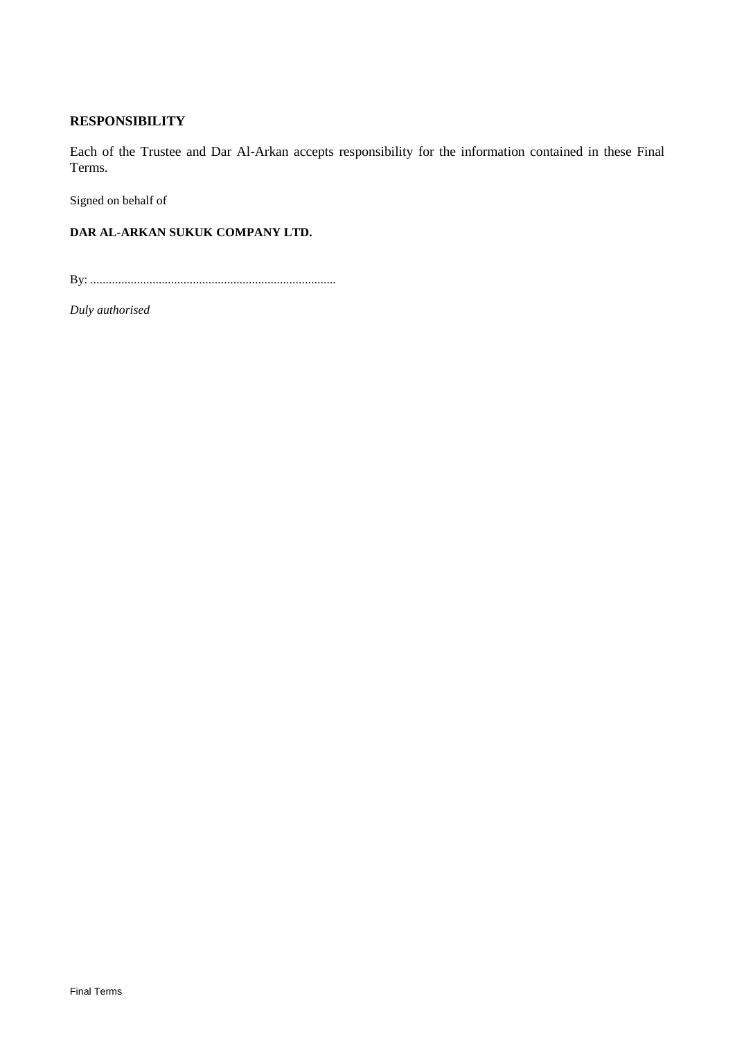## **RESPONSIBILITY**

Each of the Trustee and Dar Al-Arkan accepts responsibility for the information contained in these Final Terms.

Signed on behalf of

## **DAR AL-ARKAN SUKUK COMPANY LTD.**

By: ...............................................................................

*Duly authorised*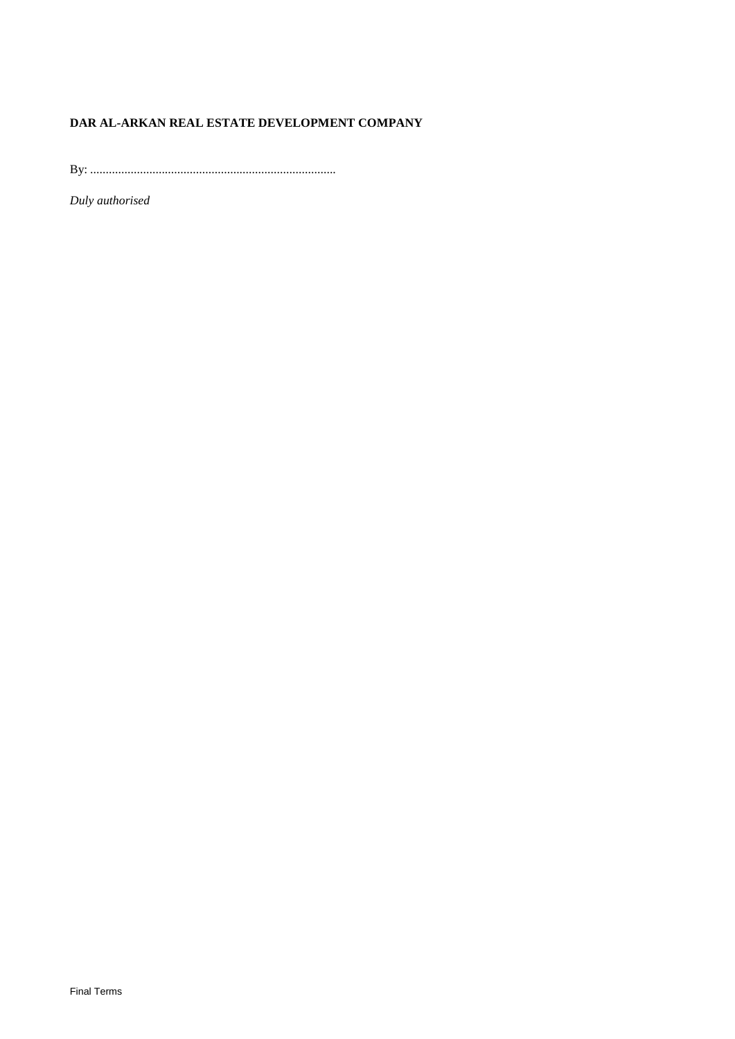## **DAR AL-ARKAN REAL ESTATE DEVELOPMENT COMPANY**

By: ...............................................................................

*Duly authorised*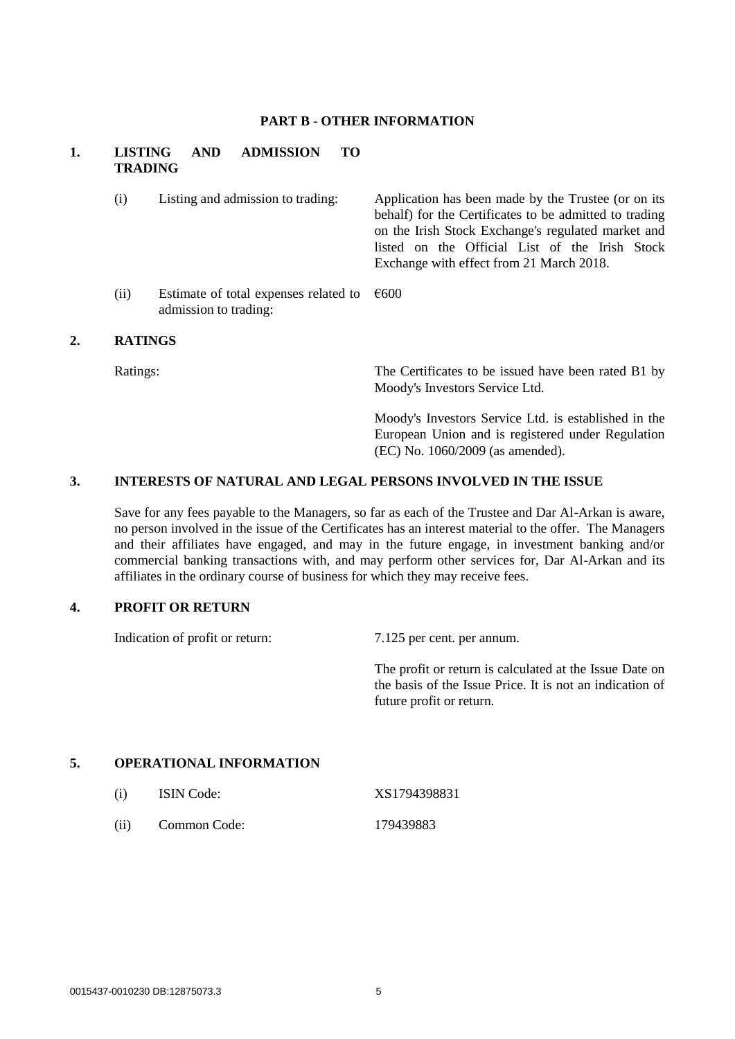#### **PART B - OTHER INFORMATION**

## **1. LISTING AND ADMISSION TO TRADING**

(i) Listing and admission to trading: Application has been made by the Trustee (or on its behalf) for the Certificates to be admitted to trading on the Irish Stock Exchange's regulated market and listed on the Official List of the Irish Stock Exchange with effect from 21 March 2018. (ii) Estimate of total expenses related to  $\epsilon$ 600 admission to trading:

#### **2. RATINGS**

Ratings: The Certificates to be issued have been rated B1 by Moody's Investors Service Ltd.

> Moody's Investors Service Ltd. is established in the European Union and is registered under Regulation (EC) No. 1060/2009 (as amended).

### **3. INTERESTS OF NATURAL AND LEGAL PERSONS INVOLVED IN THE ISSUE**

Save for any fees payable to the Managers, so far as each of the Trustee and Dar Al-Arkan is aware, no person involved in the issue of the Certificates has an interest material to the offer. The Managers and their affiliates have engaged, and may in the future engage, in investment banking and/or commercial banking transactions with, and may perform other services for, Dar Al-Arkan and its affiliates in the ordinary course of business for which they may receive fees.

### **4. PROFIT OR RETURN**

Indication of profit or return: 7.125 per cent. per annum.

The profit or return is calculated at the Issue Date on the basis of the Issue Price. It is not an indication of future profit or return.

## **5. OPERATIONAL INFORMATION**

| (i)  | <b>ISIN</b> Code: | XS1794398831 |
|------|-------------------|--------------|
| (ii) | Common Code:      | 179439883    |